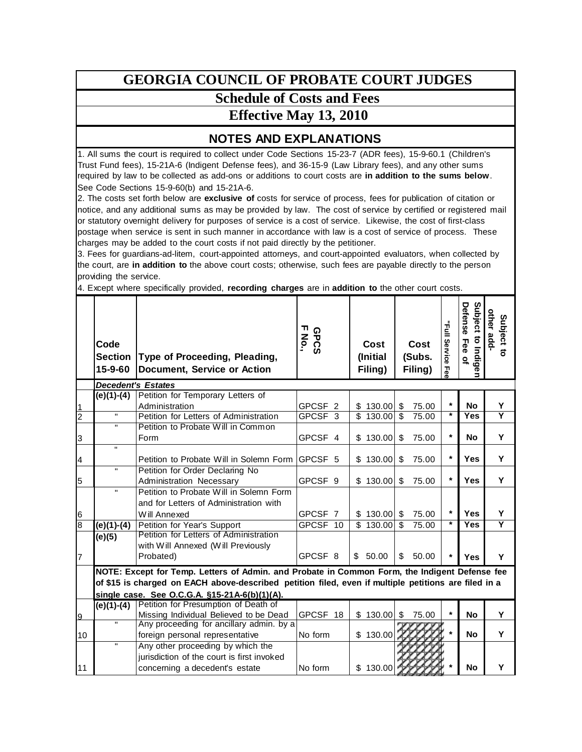## **GEORGIA COUNCIL OF PROBATE COURT JUDGES**

## **Schedule of Costs and Fees**

## **Effective May 13, 2010**

## **NOTES AND EXPLANATIONS**

1. All sums the court is required to collect under Code Sections 15-23-7 (ADR fees), 15-9-60.1 (Children's Trust Fund fees), 15-21A-6 (Indigent Defense fees), and 36-15-9 (Law Library fees), and any other sums required by law to be collected as add-ons or additions to court costs are **in addition to the sums below**. See Code Sections 15-9-60(b) and 15-21A-6.

2. The costs set forth below are **exclusive of** costs for service of process, fees for publication of citation or notice, and any additional sums as may be provided by law. The cost of service by certified or registered mail or statutory overnight delivery for purposes of service is a cost of service. Likewise, the cost of first-class postage when service is sent in such manner in accordance with law is a cost of service of process. These charges may be added to the court costs if not paid directly by the petitioner.

3. Fees for guardians-ad-litem, court-appointed attorneys, and court-appointed evaluators, when collected by the court, are **in addition to** the above court costs; otherwise, such fees are payable directly to the person providing the service.

4. Except where specifically provided, **recording charges** are in **addition to** the other court costs.

|                | Code<br><b>Section</b><br>15-9-60 | Type of Proceeding, Pleading,<br><b>Document, Service or Action</b>                                  | GPCS<br>No.        |                         | Cost<br>(Initial<br>Filing) | Cost<br>(Subs.<br>Filing) | "Full Service<br>공 | Subject to Indige<br>Defense<br>Fee of | other add<br>Subject to |
|----------------|-----------------------------------|------------------------------------------------------------------------------------------------------|--------------------|-------------------------|-----------------------------|---------------------------|--------------------|----------------------------------------|-------------------------|
|                |                                   | <b>Decedent's Estates</b>                                                                            |                    |                         |                             |                           |                    |                                        |                         |
|                | $(e)(1)-(4)$                      | Petition for Temporary Letters of                                                                    |                    |                         |                             |                           |                    |                                        |                         |
| 1              |                                   | Administration                                                                                       | GPCSF <sub>2</sub> |                         | \$130.00                    | \$<br>75.00               | $\star$            | <b>No</b>                              | Y                       |
| $\overline{c}$ | $\mathbf{H}$                      | Petition for Letters of Administration                                                               | GPCSF <sub>3</sub> | $\overline{\mathbb{S}}$ | 130.00                      | \$<br>75.00               | $\star$            | Yes                                    | Y                       |
|                | $\mathbf{u}$                      | Petition to Probate Will in Common                                                                   |                    |                         |                             |                           |                    |                                        |                         |
| 3              |                                   | Form                                                                                                 | GPCSF 4            |                         | \$130.00                    | \$<br>75.00               | $\star$            | <b>No</b>                              | Y                       |
|                | $\mathbf{u}$                      |                                                                                                      |                    |                         |                             |                           |                    |                                        |                         |
| $\overline{4}$ |                                   | Petition to Probate Will in Solemn Form                                                              | GPCSF 5            |                         | \$130.00                    | \$<br>75.00               | $\star$            | <b>Yes</b>                             | Y                       |
|                | $\mathbf H$                       | Petition for Order Declaring No                                                                      |                    |                         |                             |                           |                    |                                        |                         |
| 5              |                                   | Administration Necessary                                                                             | GPCSF <sub>9</sub> |                         | \$130.00                    | \$<br>75.00               | $\star$            | <b>Yes</b>                             | Y                       |
|                | Π.                                | Petition to Probate Will in Solemn Form                                                              |                    |                         |                             |                           |                    |                                        |                         |
|                |                                   | and for Letters of Administration with                                                               |                    |                         |                             |                           |                    |                                        |                         |
| 6              |                                   | Will Annexed                                                                                         | GPCSF 7            |                         | \$130.00                    | \$<br>75.00               | $\star$            | <b>Yes</b>                             | Υ                       |
| $\overline{8}$ | $(e)(1)-(4)$                      | Petition for Year's Support                                                                          | GPCSF 10           |                         | \$130.00                    | \$<br>75.00               |                    | <b>Yes</b>                             | Ÿ                       |
|                | (e)(5)                            | Petition for Letters of Administration                                                               |                    |                         |                             |                           |                    |                                        |                         |
|                |                                   | with Will Annexed (Will Previously                                                                   |                    |                         |                             |                           |                    |                                        |                         |
| 17             |                                   | Probated)                                                                                            | GPCSF 8            | \$                      | 50.00                       | \$<br>50.00               |                    | Yes                                    | Y                       |
|                |                                   | NOTE: Except for Temp. Letters of Admin. and Probate in Common Form, the Indigent Defense fee        |                    |                         |                             |                           |                    |                                        |                         |
|                |                                   | of \$15 is charged on EACH above-described petition filed, even if multiple petitions are filed in a |                    |                         |                             |                           |                    |                                        |                         |
|                |                                   | single case. See O.C.G.A. §15-21A-6(b)(1)(A).                                                        |                    |                         |                             |                           |                    |                                        |                         |
|                | $(e)(1)-(4)$                      | Petition for Presumption of Death of                                                                 |                    |                         |                             |                           |                    |                                        |                         |
| 9              |                                   | Missing Individual Believed to be Dead                                                               | GPCSF 18           |                         | \$130.00                    | \$<br>75.00               | $\star$            | <b>No</b>                              | Y                       |
|                | Η.                                | Any proceeding for ancillary admin. by a                                                             |                    |                         |                             |                           |                    |                                        |                         |
| 10             |                                   | foreign personal representative                                                                      | No form            |                         | \$130.00                    |                           |                    | <b>No</b>                              | Y                       |
|                | $\mathbf{H}$                      | Any other proceeding by which the                                                                    |                    |                         |                             |                           |                    |                                        |                         |
|                |                                   | jurisdiction of the court is first invoked                                                           |                    |                         |                             |                           |                    |                                        |                         |
| 11             |                                   | concerning a decedent's estate                                                                       | No form            |                         | \$130.00                    |                           |                    | <b>No</b>                              | Y                       |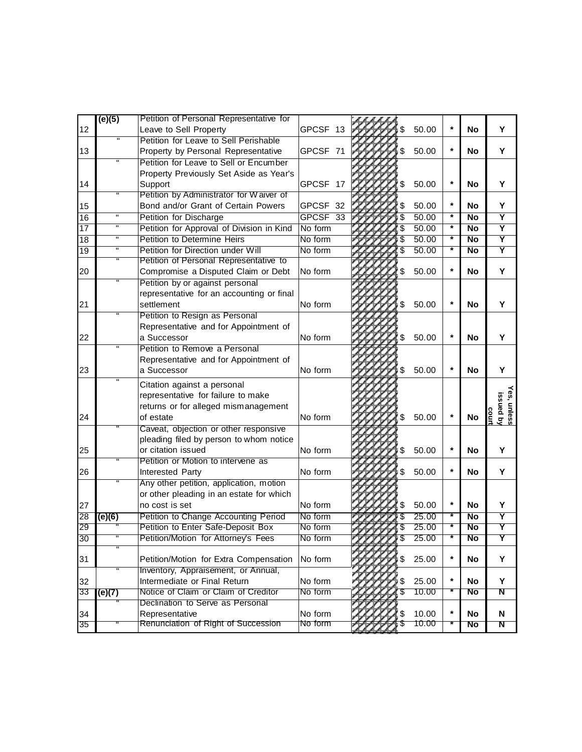|                 | (e)(5)                  | Petition of Personal Representative for   |                     |    |       |         |                 |                                         |
|-----------------|-------------------------|-------------------------------------------|---------------------|----|-------|---------|-----------------|-----------------------------------------|
| 12              |                         | Leave to Sell Property                    | GPCSF 13            |    | 50.00 |         | <b>No</b>       | Y                                       |
|                 | $\overline{\mathbf{u}}$ | Petition for Leave to Sell Perishable     |                     |    |       |         |                 |                                         |
| 13              |                         | Property by Personal Representative       | GPCSF 71            | \$ | 50.00 | $\star$ | <b>No</b>       | Υ                                       |
|                 | п                       | Petition for Leave to Sell or Encumber    |                     |    |       |         |                 |                                         |
|                 |                         | Property Previously Set Aside as Year's   |                     |    |       |         |                 |                                         |
| 14              |                         | Support                                   | GPCSF 17            | S  | 50.00 | $\star$ | <b>No</b>       | Y                                       |
|                 | п                       | Petition by Administrator for Waiver of   |                     |    |       |         |                 |                                         |
| 15              |                         | Bond and/or Grant of Certain Powers       | GPCSF 32            |    | 50.00 | $\star$ | No              | Y                                       |
| 16              | $\overline{\mathbf{u}}$ | <b>Petition for Discharge</b>             | GPCSF <sub>33</sub> | \$ | 50.00 | $\ast$  | <b>No</b>       | Ÿ                                       |
| $\overline{17}$ | $\blacksquare$          | Petition for Approval of Division in Kind | No form             |    | 50.00 | $\ast$  | $\overline{No}$ | $\overline{\mathsf{Y}}$                 |
| 18              | $\mathbf H$             | <b>Petition to Determine Heirs</b>        | No form             |    | 50.00 | $\star$ | <b>No</b>       | $\overline{\mathsf{Y}}$                 |
| 19              | $\mathbf H$             | Petition for Direction under Will         | No form             |    | 50.00 | $\star$ | <b>No</b>       | Y                                       |
|                 |                         | Petition of Personal Representative to    |                     |    |       |         |                 |                                         |
| 20              |                         | Compromise a Disputed Claim or Debt       | No form             |    | 50.00 | $\star$ | No              | Y                                       |
|                 | π                       | Petition by or against personal           |                     |    |       |         |                 |                                         |
|                 |                         | representative for an accounting or final |                     |    |       |         |                 |                                         |
| 21              |                         | settlement                                | No form             | \$ | 50.00 |         | No              | Y                                       |
|                 |                         | Petition to Resign as Personal            |                     |    |       |         |                 |                                         |
|                 |                         | Representative and for Appointment of     |                     |    |       |         |                 |                                         |
| 22              |                         | a Successor                               | No form             | S  | 50.00 |         | <b>No</b>       | Y                                       |
|                 |                         | Petition to Remove a Personal             |                     |    |       |         |                 |                                         |
|                 |                         | Representative and for Appointment of     |                     |    |       |         |                 |                                         |
| 23              |                         | a Successor                               | No form             | \$ | 50.00 |         | No              | Y                                       |
|                 |                         | Citation against a personal               |                     |    |       |         |                 |                                         |
|                 |                         | representative for failure to make        |                     |    |       |         |                 |                                         |
|                 |                         | returns or for alleged mismanagement      |                     |    |       |         |                 |                                         |
| 24              |                         | of estate                                 | No form             | \$ | 50.00 | $\star$ | No              | <b>fes, unless</b><br>issued by<br>sour |
|                 |                         | Caveat, objection or other responsive     |                     |    |       |         |                 |                                         |
|                 |                         | pleading filed by person to whom notice   |                     |    |       |         |                 |                                         |
| 25              |                         | or citation issued                        | No form             | \$ | 50.00 | $\star$ | No              | Y                                       |
|                 |                         | Petition or Motion to intervene as        |                     |    |       |         |                 |                                         |
| 26              |                         | Interested Party                          | No form             | \$ | 50.00 |         | No              | Y                                       |
|                 |                         | Any other petition, application, motion   |                     |    |       |         |                 |                                         |
|                 |                         | or other pleading in an estate for which  |                     |    |       |         |                 |                                         |
| 27              |                         | no cost is set                            | No form             |    | 50.00 | $\star$ | <b>No</b>       | Y                                       |
| 28              | (e)(6)                  | Petition to Change Accounting Period      | No form             |    | 25.00 |         | <b>No</b>       | Y                                       |
| 29              |                         | Petition to Enter Safe-Deposit Box        | No form             |    | 25.00 |         | No              | Y                                       |
| 30              |                         | Petition/Motion for Attorney's Fees       | No form             |    | 25.00 |         | No              |                                         |
|                 |                         |                                           |                     |    |       |         |                 |                                         |
| 31              |                         | Petition/Motion for Extra Compensation    | No form             | \$ | 25.00 | $\star$ | No              | Y                                       |
|                 |                         | Inventory, Appraisement, or Annual,       |                     |    |       |         |                 |                                         |
| 32              |                         | Intermediate or Final Return              | No form             |    | 25.00 | $\star$ | No              | Y                                       |
| 33              | (e)(7)                  | Notice of Claim or Claim of Creditor      | No form             |    | 10.00 | ₮       | No              | N                                       |
|                 |                         | Declination to Serve as Personal          |                     |    |       |         |                 |                                         |
| 34              |                         | Representative                            | No form             |    | 10.00 | $\star$ | No              | N                                       |
| 35              |                         | Renunciation of Right of Succession       | No form             |    | 10.00 |         | No              | N                                       |
|                 |                         |                                           |                     |    |       |         |                 |                                         |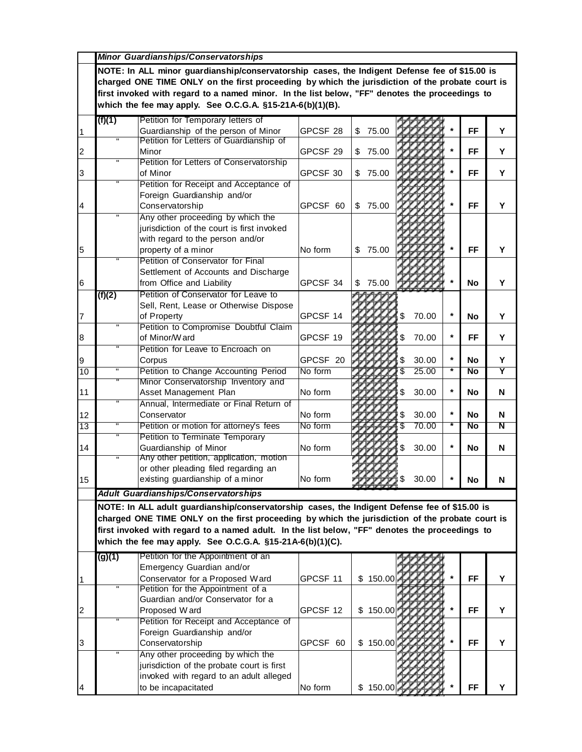|                       | Minor Guardianships/Conservatorships                                                                                                                                                                                                                                                                                                                                                                           |                                                                                                                                                   |                      |                      |                           |         |                              |                              |  |  |  |
|-----------------------|----------------------------------------------------------------------------------------------------------------------------------------------------------------------------------------------------------------------------------------------------------------------------------------------------------------------------------------------------------------------------------------------------------------|---------------------------------------------------------------------------------------------------------------------------------------------------|----------------------|----------------------|---------------------------|---------|------------------------------|------------------------------|--|--|--|
|                       | NOTE: In ALL minor guardianship/conservatorship cases, the Indigent Defense fee of \$15.00 is<br>charged ONE TIME ONLY on the first proceeding by which the jurisdiction of the probate court is<br>first invoked with regard to a named minor. In the list below, "FF" denotes the proceedings to<br>which the fee may apply. See O.C.G.A. $§15-21A-6(b)(1)(B)$ .                                             |                                                                                                                                                   |                      |                      |                           |         |                              |                              |  |  |  |
| $\vert$ 1             | (f)(1)                                                                                                                                                                                                                                                                                                                                                                                                         | Petition for Temporary letters of<br>Guardianship of the person of Minor                                                                          | GPCSF 28             | 75.00<br>\$          |                           |         | <b>FF</b>                    | Y                            |  |  |  |
| 2                     |                                                                                                                                                                                                                                                                                                                                                                                                                | Petition for Letters of Guardianship of<br>Minor                                                                                                  | GPCSF <sub>29</sub>  | 75.00<br>S           |                           |         | FF                           | Υ                            |  |  |  |
| 3                     | π                                                                                                                                                                                                                                                                                                                                                                                                              | Petition for Letters of Conservatorship<br>of Minor                                                                                               | GPCSF 30             | 75.00<br>\$          |                           |         | FF                           | Υ                            |  |  |  |
|                       |                                                                                                                                                                                                                                                                                                                                                                                                                | Petition for Receipt and Acceptance of<br>Foreign Guardianship and/or                                                                             |                      |                      |                           |         |                              |                              |  |  |  |
| 4                     | $\blacksquare$                                                                                                                                                                                                                                                                                                                                                                                                 | Conservatorship<br>Any other proceeding by which the                                                                                              | GPCSF 60             | 75.00<br>\$          |                           |         | <b>FF</b>                    | Υ                            |  |  |  |
| 5                     |                                                                                                                                                                                                                                                                                                                                                                                                                | jurisdiction of the court is first invoked<br>with regard to the person and/or<br>property of a minor                                             | No form              | 75.00<br>\$          |                           |         | <b>FF</b>                    | Y                            |  |  |  |
| 16                    |                                                                                                                                                                                                                                                                                                                                                                                                                | Petition of Conservator for Final<br>Settlement of Accounts and Discharge<br>from Office and Liability<br>Petition of Conservator for Leave to    | GPCSF 34             | 75.00<br>\$          |                           |         | <b>No</b>                    | Υ                            |  |  |  |
| $\overline{7}$        | (f)(2)<br>π                                                                                                                                                                                                                                                                                                                                                                                                    | Sell, Rent, Lease or Otherwise Dispose<br>of Property                                                                                             | GPCSF 14             |                      | 70.00<br>\$               | $\star$ | <b>No</b>                    | Y                            |  |  |  |
| 8                     |                                                                                                                                                                                                                                                                                                                                                                                                                | Petition to Compromise Doubtful Claim<br>of Minor/Ward                                                                                            | GPCSF 19             |                      | 70.00<br>\$               | $\star$ | FF                           | Y                            |  |  |  |
| 9<br>$\overline{10}$  | п                                                                                                                                                                                                                                                                                                                                                                                                              | Petition for Leave to Encroach on<br>Corpus<br>Petition to Change Accounting Period                                                               | GPCSF 20<br>No form  |                      | 30.00<br>S<br>\$<br>25.00 | $\star$ | <b>No</b><br>$\overline{No}$ | Y<br>$\overline{\mathsf{Y}}$ |  |  |  |
| 11                    |                                                                                                                                                                                                                                                                                                                                                                                                                | Minor Conservatorship Inventory and<br>Asset Management Plan                                                                                      | No form              |                      | 30.00<br>\$               | $\star$ | No.                          | N                            |  |  |  |
| 12<br>$\overline{13}$ | π<br>π                                                                                                                                                                                                                                                                                                                                                                                                         | Annual, Intermediate or Final Return of<br>Conservator<br>Petition or motion for attorney's fees                                                  | No form<br>No form   |                      | 30.00<br>\$<br>70.00      | $\star$ | No<br>No                     | N<br>$\overline{\mathsf{N}}$ |  |  |  |
| 14                    | π                                                                                                                                                                                                                                                                                                                                                                                                              | <b>Petition to Terminate Temporary</b><br>Guardianship of Minor                                                                                   | No form              |                      | 30.00<br>\$               | $\star$ | No                           | N                            |  |  |  |
| 15                    | $\mathbf H$                                                                                                                                                                                                                                                                                                                                                                                                    | Any other petition, application, motion<br>or other pleading filed regarding an<br>existing guardianship of a minor                               | No form              |                      | 30.00                     |         | No.                          | N                            |  |  |  |
|                       | <b>Adult Guardianships/Conservatorships</b><br>NOTE: In ALL adult guardianship/conservatorship cases, the Indigent Defense fee of \$15.00 is<br>charged ONE TIME ONLY on the first proceeding by which the jurisdiction of the probate court is<br>first invoked with regard to a named adult. In the list below, "FF" denotes the proceedings to<br>which the fee may apply. See O.C.G.A. §15-21A-6(b)(1)(C). |                                                                                                                                                   |                      |                      |                           |         |                              |                              |  |  |  |
|                       | (g)(1)                                                                                                                                                                                                                                                                                                                                                                                                         | Petition for the Appointment of an<br>Emergency Guardian and/or                                                                                   |                      |                      |                           |         |                              |                              |  |  |  |
| 1                     | $\mathbf H$                                                                                                                                                                                                                                                                                                                                                                                                    | Conservator for a Proposed Ward<br>Petition for the Appointment of a<br>Guardian and/or Conservator for a                                         | GPCSF 11             | \$150.00<br>\$150.00 |                           |         | <b>FF</b><br><b>FF</b>       | Y<br>Y                       |  |  |  |
| $\overline{2}$<br>3   | н                                                                                                                                                                                                                                                                                                                                                                                                              | Proposed Ward<br>Petition for Receipt and Acceptance of<br>Foreign Guardianship and/or<br>Conservatorship                                         | GPCSF 12<br>GPCSF 60 | \$150.00             |                           |         | <b>FF</b>                    | Υ                            |  |  |  |
| $\overline{A}$        | π                                                                                                                                                                                                                                                                                                                                                                                                              | Any other proceeding by which the<br>jurisdiction of the probate court is first<br>invoked with regard to an adult alleged<br>to be incapacitated | No form              | \$150.00             |                           |         | FF                           | Y                            |  |  |  |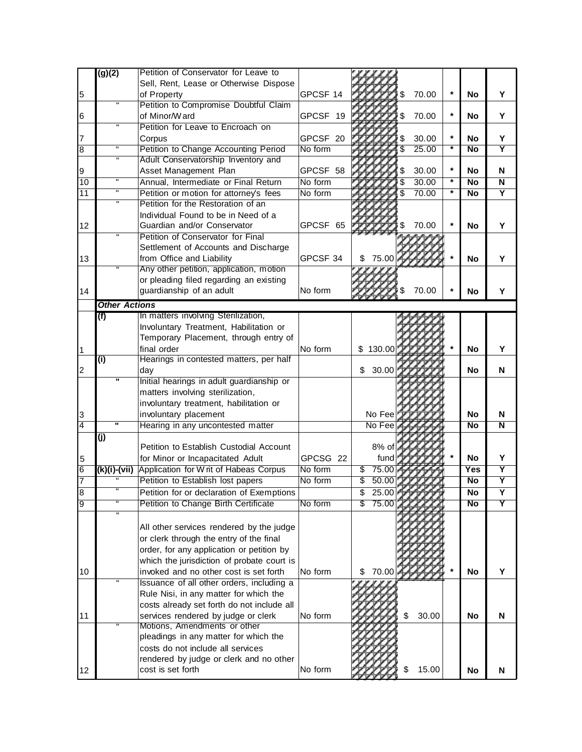|                | $\overline{(g)(2)}$       | Petition of Conservator for Leave to                                                 |          |                        |                 |                         |
|----------------|---------------------------|--------------------------------------------------------------------------------------|----------|------------------------|-----------------|-------------------------|
|                |                           | Sell, Rent, Lease or Otherwise Dispose                                               |          |                        |                 |                         |
| 5              |                           | of Property                                                                          | GPCSF 14 | 70.00<br>$\star$       | <b>No</b>       | Υ                       |
|                | $\overline{u}$            | Petition to Compromise Doubtful Claim                                                |          |                        |                 |                         |
| 6              |                           | of Minor/Ward                                                                        | GPCSF 19 | $\star$<br>70.00<br>\$ | No              | Y                       |
|                | $\overline{u}$            | Petition for Leave to Encroach on                                                    |          |                        |                 |                         |
| 17             |                           | Corpus                                                                               | GPCSF 20 | $\star$<br>30.00       | No              | Y                       |
| $\overline{8}$ | π                         | Petition to Change Accounting Period                                                 | No form  | 25.00                  | $\overline{No}$ | $\overline{\mathsf{Y}}$ |
|                | $\sf H$                   | Adult Conservatorship Inventory and                                                  |          |                        |                 |                         |
| 9              |                           | Asset Management Plan                                                                | GPCSF 58 | $\ast$<br>30.00<br>S   | No              | N                       |
| 10             | $\mathbf{H}$              | Annual, Intermediate or Final Return                                                 | No form  | $\star$<br>30.00<br>\$ | <b>No</b>       | $\overline{\mathsf{N}}$ |
| 11             | $\overline{\mathbf{u}}$   | Petition or motion for attorney's fees                                               | No form  | \$<br>70.00            | <b>No</b>       | Y                       |
|                | $\overline{\mathbf{u}}$   | Petition for the Restoration of an                                                   |          |                        |                 |                         |
|                |                           | Individual Found to be in Need of a                                                  |          |                        |                 |                         |
| 12             |                           | Guardian and/or Conservator                                                          | GPCSF 65 | 70.00                  | <b>No</b>       | Υ                       |
|                | п                         | Petition of Conservator for Final                                                    |          |                        |                 |                         |
|                |                           | Settlement of Accounts and Discharge                                                 |          |                        |                 |                         |
| 13             |                           | from Office and Liability                                                            | GPCSF 34 | 75.00<br>\$            | <b>No</b>       | Y                       |
|                |                           | Any other petition, application, motion                                              |          |                        |                 |                         |
|                |                           | or pleading filed regarding an existing                                              |          |                        |                 |                         |
| 14             |                           | guardianship of an adult                                                             | No form  | 70.00                  | <b>No</b>       | Y                       |
|                | <b>Other Actions</b>      |                                                                                      |          |                        |                 |                         |
|                | (f)                       | In matters involving Sterilization,                                                  |          |                        |                 |                         |
|                |                           | Involuntary Treatment, Habilitation or                                               |          |                        |                 |                         |
|                |                           | Temporary Placement, through entry of                                                |          |                        |                 |                         |
| $\vert$ 1      |                           | final order                                                                          | No form  | 130.00<br>\$           | <b>No</b>       | Υ                       |
|                | $\overline{(\mathsf{i})}$ | Hearings in contested matters, per half                                              |          |                        |                 |                         |
| 2              |                           | day                                                                                  |          | 30.00<br>\$            | No              | N                       |
|                | π                         | Initial hearings in adult guardianship or                                            |          |                        |                 |                         |
|                |                           | matters involving sterilization,                                                     |          |                        |                 |                         |
|                |                           | involuntary treatment, habilitation or                                               |          |                        |                 |                         |
| 3              |                           | involuntary placement                                                                |          | No Fee                 | No              | N                       |
| $\overline{4}$ | π                         | Hearing in any uncontested matter                                                    |          | No Fee                 | N <sub>o</sub>  | N                       |
|                | $\overline{(\mathsf{j})}$ |                                                                                      |          |                        |                 |                         |
|                |                           | Petition to Establish Custodial Account                                              |          | 8% of                  |                 |                         |
| 5              |                           | for Minor or Incapacitated Adult                                                     | GPCSG 22 | fund                   | <b>No</b>       | Y                       |
| $\overline{6}$ | (k)(i)-(vii)              | Application for W rit of Habeas Corpus                                               | No form  | 75.00<br>\$            | Yes             | Y                       |
| $\overline{7}$ |                           | Petition to Establish lost papers                                                    | No form  | 50.00<br>\$            | <b>No</b>       | $\overline{\mathsf{Y}}$ |
| $\overline{8}$ |                           | Petition for or declaration of Exemptions                                            |          | \$<br>25.00            | $\overline{No}$ | Υ                       |
| g              |                           | Petition to Change Birth Certificate                                                 | No form  | \$<br>75.00            | $\overline{N}$  | Y                       |
|                | $\blacksquare$            |                                                                                      |          |                        |                 |                         |
|                |                           | All other services rendered by the judge                                             |          |                        |                 |                         |
|                |                           | or clerk through the entry of the final                                              |          |                        |                 |                         |
|                |                           |                                                                                      |          |                        |                 |                         |
|                |                           | order, for any application or petition by                                            |          |                        |                 |                         |
| 10             |                           | which the jurisdiction of probate court is<br>invoked and no other cost is set forth | No form  | 70.00                  | <b>No</b>       | Y                       |
|                |                           |                                                                                      |          | \$                     |                 |                         |
|                |                           | Issuance of all other orders, including a                                            |          |                        |                 |                         |
|                |                           | Rule Nisi, in any matter for which the<br>costs already set forth do not include all |          |                        |                 |                         |
| 11             |                           | services rendered by judge or clerk                                                  | No form  | \$<br>30.00            | No              | N                       |
|                |                           | Motions, Amendments or other                                                         |          |                        |                 |                         |
|                |                           | pleadings in any matter for which the                                                |          |                        |                 |                         |
|                |                           | costs do not include all services                                                    |          |                        |                 |                         |
|                |                           | rendered by judge or clerk and no other                                              |          |                        |                 |                         |
| 12             |                           | cost is set forth                                                                    | No form  | 15.00                  | No              | N                       |
|                |                           |                                                                                      |          |                        |                 |                         |